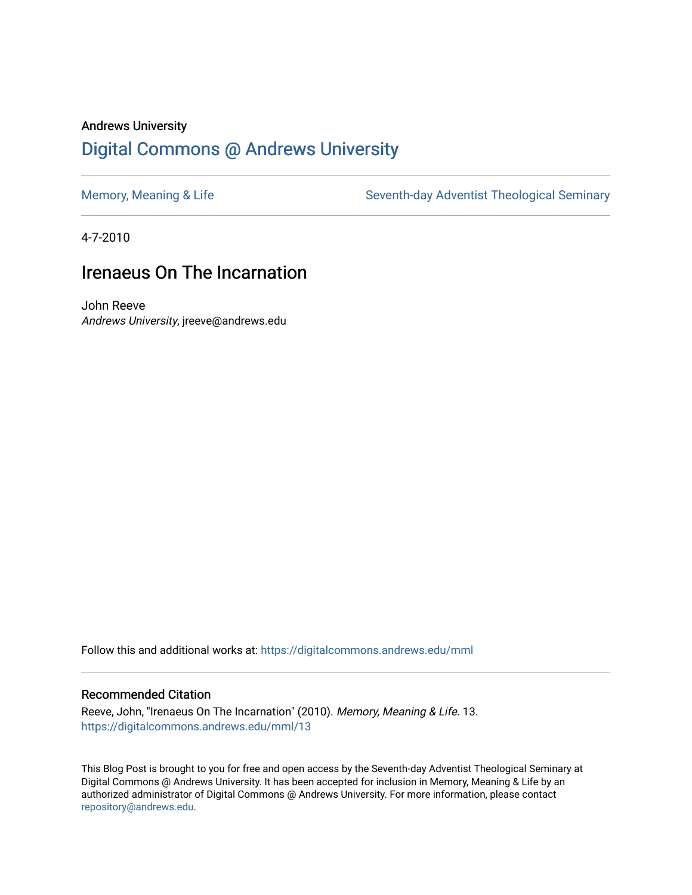### Andrews University [Digital Commons @ Andrews University](https://digitalcommons.andrews.edu/)

[Memory, Meaning & Life](https://digitalcommons.andrews.edu/mml) Seventh-day Adventist Theological Seminary

4-7-2010

#### Irenaeus On The Incarnation

John Reeve Andrews University, jreeve@andrews.edu

Follow this and additional works at: [https://digitalcommons.andrews.edu/mml](https://digitalcommons.andrews.edu/mml?utm_source=digitalcommons.andrews.edu%2Fmml%2F13&utm_medium=PDF&utm_campaign=PDFCoverPages) 

#### Recommended Citation

Reeve, John, "Irenaeus On The Incarnation" (2010). Memory, Meaning & Life. 13. [https://digitalcommons.andrews.edu/mml/13](https://digitalcommons.andrews.edu/mml/13?utm_source=digitalcommons.andrews.edu%2Fmml%2F13&utm_medium=PDF&utm_campaign=PDFCoverPages)

This Blog Post is brought to you for free and open access by the Seventh-day Adventist Theological Seminary at Digital Commons @ Andrews University. It has been accepted for inclusion in Memory, Meaning & Life by an authorized administrator of Digital Commons @ Andrews University. For more information, please contact [repository@andrews.edu](mailto:repository@andrews.edu).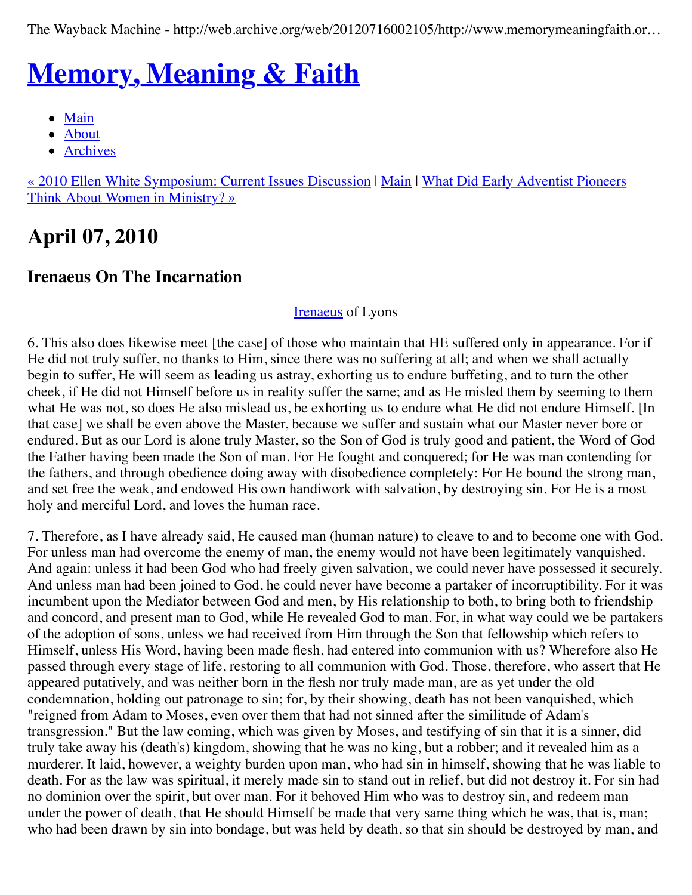The Wayback Machine - http://web.archive.org/web/20120716002105/http://www.memorymeaningfaith.or…

# **[Memory, Meaning & Faith](http://web.archive.org/web/20120716002105/http://www.memorymeaningfaith.org/blog/)**

- [Main](http://web.archive.org/web/20120716002105/http://www.memorymeaningfaith.org/blog)
- [About](http://web.archive.org/web/20120716002105/http://www.memorymeaningfaith.org/blog/about.html)
- [Archives](http://web.archive.org/web/20120716002105/http://www.memorymeaningfaith.org/blog/archives.html)

[« 2010 Ellen White Symposium: Current Issues Discussio](http://web.archive.org/web/20120716002105/http://www.memorymeaningfaith.org/blog/2010/04/2010-ellen-white-symposium-current-issues-discussion.html)[n |](http://web.archive.org/web/20120716002105/http://www.memorymeaningfaith.org/blog/2010/04/adventist-pioneers-women-ministry.html) [Mai](http://web.archive.org/web/20120716002105/http://www.memorymeaningfaith.org/blog/)[n](http://web.archive.org/web/20120716002105/http://www.memorymeaningfaith.org/blog/2010/04/adventist-pioneers-women-ministry.html) | What Did Early Adventist Pioneers Think About Women in Ministry? »

## **April 07, 2010**

### **Irenaeus On The Incarnation**

#### **[Irenaeus](http://web.archive.org/web/20120716002105/http://en.wikipedia.org/wiki/Irenaeus)** of Lyons

6. This also does likewise meet [the case] of those who maintain that HE suffered only in appearance. For if He did not truly suffer, no thanks to Him, since there was no suffering at all; and when we shall actually begin to suffer, He will seem as leading us astray, exhorting us to endure buffeting, and to turn the other cheek, if He did not Himself before us in reality suffer the same; and as He misled them by seeming to them what He was not, so does He also mislead us, be exhorting us to endure what He did not endure Himself. [In that case] we shall be even above the Master, because we suffer and sustain what our Master never bore or endured. But as our Lord is alone truly Master, so the Son of God is truly good and patient, the Word of God the Father having been made the Son of man. For He fought and conquered; for He was man contending for the fathers, and through obedience doing away with disobedience completely: For He bound the strong man, and set free the weak, and endowed His own handiwork with salvation, by destroying sin. For He is a most holy and merciful Lord, and loves the human race.

7. Therefore, as I have already said, He caused man (human nature) to cleave to and to become one with God. For unless man had overcome the enemy of man, the enemy would not have been legitimately vanquished. And again: unless it had been God who had freely given salvation, we could never have possessed it securely. And unless man had been joined to God, he could never have become a partaker of incorruptibility. For it was incumbent upon the Mediator between God and men, by His relationship to both, to bring both to friendship and concord, and present man to God, while He revealed God to man. For, in what way could we be partakers of the adoption of sons, unless we had received from Him through the Son that fellowship which refers to Himself, unless His Word, having been made flesh, had entered into communion with us? Wherefore also He passed through every stage of life, restoring to all communion with God. Those, therefore, who assert that He appeared putatively, and was neither born in the flesh nor truly made man, are as yet under the old condemnation, holding out patronage to sin; for, by their showing, death has not been vanquished, which "reigned from Adam to Moses, even over them that had not sinned after the similitude of Adam's transgression." But the law coming, which was given by Moses, and testifying of sin that it is a sinner, did truly take away his (death's) kingdom, showing that he was no king, but a robber; and it revealed him as a murderer. It laid, however, a weighty burden upon man, who had sin in himself, showing that he was liable to death. For as the law was spiritual, it merely made sin to stand out in relief, but did not destroy it. For sin had no dominion over the spirit, but over man. For it behoved Him who was to destroy sin, and redeem man under the power of death, that He should Himself be made that very same thing which he was, that is, man; who had been drawn by sin into bondage, but was held by death, so that sin should be destroyed by man, and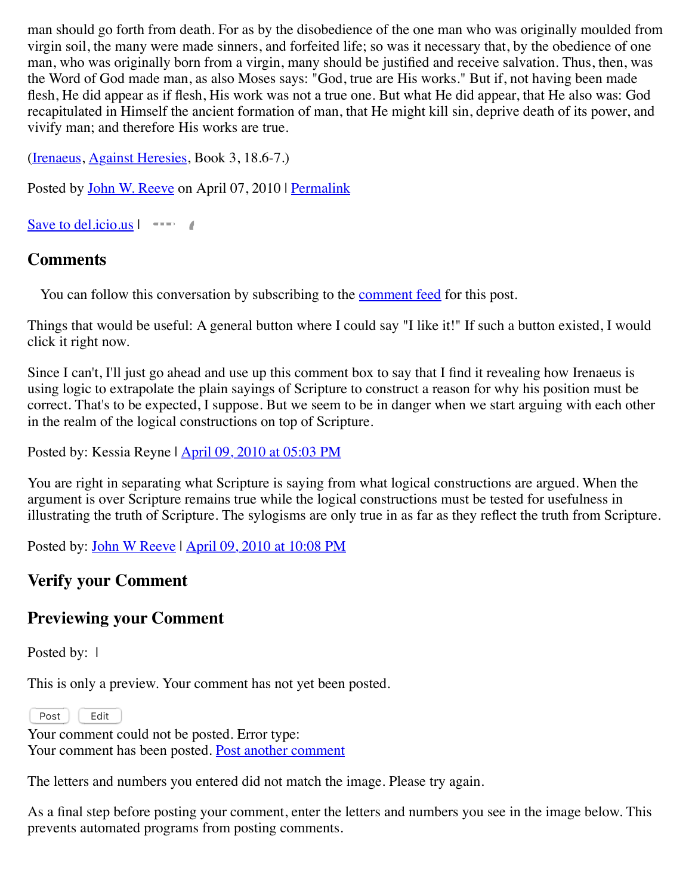man should go forth from death. For as by the disobedience of the one man who was originally moulded from virgin soil, the many were made sinners, and forfeited life; so was it necessary that, by the obedience of one man, who was originally born from a virgin, many should be justified and receive salvation. Thus, then, was the Word of God made man, as also Moses says: "God, true are His works." But if, not having been made flesh, He did appear as if flesh, His work was not a true one. But what He did appear, that He also was: God recapitulated in Himself the ancient formation of man, that He might kill sin, deprive death of its power, and vivify man; and therefore His works are true.

([Irenaeus](http://web.archive.org/web/20120716002105/http://en.wikipedia.org/wiki/Irenaeus), [Against Heresies,](http://web.archive.org/web/20120716002105/http://www.newadvent.org/fathers/0103.htm) Book 3, 18.6-7.)

Posted by [John W. Reeve](http://web.archive.org/web/20120716002105/http://profile.typepad.com/jreeve) on April 07, 2010 | [Permalink](http://web.archive.org/web/20120716002105/http://www.memorymeaningfaith.org/blog/2010/04/irenaeus-incarnation.html)

[Save to del.icio.us](http://web.archive.org/web/20120716002105/http://del.icio.us/post) |

#### **Comments**

You can follow this conversation by subscribing to the [comment feed](http://web.archive.org/web/20120716002105/http://www.memorymeaningfaith.org/blog/2010/04/irenaeus-incarnation/comments/atom.xml) for this post.

Things that would be useful: A general button where I could say "I like it!" If such a button existed, I would click it right now.

Since I can't, I'll just go ahead and use up this comment box to say that I find it revealing how Irenaeus is using logic to extrapolate the plain sayings of Scripture to construct a reason for why his position must be correct. That's to be expected, I suppose. But we seem to be in danger when we start arguing with each other in the realm of the logical constructions on top of Scripture.

Posted by: Kessia Reyne | [April 09, 2010 at 05:03 PM](http://web.archive.org/web/20120716002105/http://www.memorymeaningfaith.org/blog/2010/04/irenaeus-incarnation.html?cid=6a01287656f488970c0133ec93caa2970b#comment-6a01287656f488970c0133ec93caa2970b)

You are right in separating what Scripture is saying from what logical constructions are argued. When the argument is over Scripture remains true while the logical constructions must be tested for usefulness in illustrating the truth of Scripture. The sylogisms are only true in as far as they reflect the truth from Scripture.

Posted by: [John W Reeve](http://web.archive.org/web/20120716002105/http://memorymeaningfaith.org/) | [April 09, 2010 at 10:08 PM](http://web.archive.org/web/20120716002105/http://www.memorymeaningfaith.org/blog/2010/04/irenaeus-incarnation.html?cid=6a01287656f488970c0133ec950744970b#comment-6a01287656f488970c0133ec950744970b)

### **Verify your Comment**

### **Previewing your Comment**

Posted by: 1

This is only a preview. Your comment has not yet been posted.

Post Edit

Your comment could not be posted. Error type: Your comment has been posted. [Post another comment](javascript:void%200;)

<span id="page-2-0"></span>The letters and numbers you entered did not match the image. Please try again.

As a final step before posting your comment, enter the letters and numbers you see in the image below. This prevents automated programs from posting comments.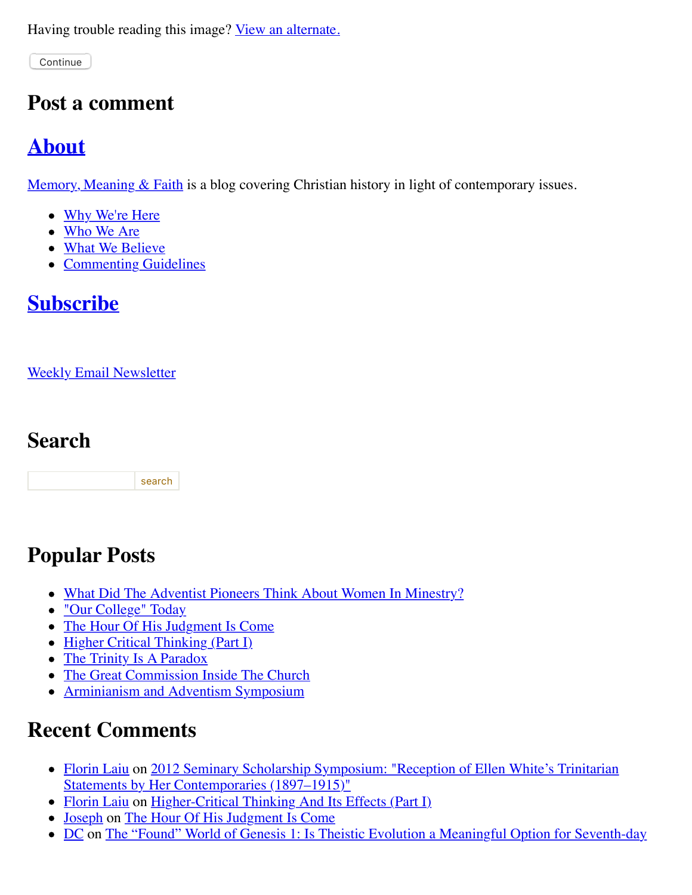Having trouble reading this image? [View an alternate.](#page-2-0)

Continue

### **Post a comment**

### **[About](http://web.archive.org/web/20120716002105/http://memorymeaningfaith.typepad.com/blog/about.html)**

Memory, Meaning  $&$  Faith is a blog covering Christian history in light of contemporary issues.

- [Why We're Here](http://web.archive.org/web/20120716002105/http://www.memorymeaningfaith.org/blog/why-were-here.html)
- [Who We Are](http://web.archive.org/web/20120716002105/http://www.memorymeaningfaith.org/blog/who-we-are.html)
- [What We Believe](http://web.archive.org/web/20120716002105/http://www.memorymeaningfaith.org/blog/what-we-believe.html)
- [Commenting Guidelines](http://web.archive.org/web/20120716002105/http://www.memorymeaningfaith.org/blog/commenting-guidelines.html)

### **[Subscribe](http://web.archive.org/web/20120716002105/http://www.memorymeaningfaith.org/blog/subscribe.html)**

[Weekly Email Newsletter](http://web.archive.org/web/20120716002105/http://eepurl.com/im9P)

### **Search**

search

## **Popular Posts**

- [What Did The Adventist Pioneers Think About Women In Minestry?](http://web.archive.org/web/20120716002105/http://www.memorymeaningfaith.org/blog/2010/04/adventist-pioneers-women-ministry.html)
- ["Our College" Today](http://web.archive.org/web/20120716002105/http://www.memorymeaningfaith.org/blog/2010/06/our-college-today-.html)
- [The Hour Of His Judgment Is Come](http://web.archive.org/web/20120716002105/http://www.memorymeaningfaith.org/blog/2010/04/hour-judgment-is-come.html)
- [Higher Critical Thinking \(Part I\)](http://web.archive.org/web/20120716002105/http://www.memorymeaningfaith.org/blog/2010/03/highercritical-thinking-part-i.html)
- [The Trinity Is A Paradox](http://web.archive.org/web/20120716002105/http://www.memorymeaningfaith.org/blog/2010/03/the-trinity-is-a-paradox.html)
- [The Great Commission Inside The Church](http://web.archive.org/web/20120716002105/http://www.memorymeaningfaith.org/blog/2010/04/the-great-comission-inside-the-church.html)
- [Arminianism and Adventism Symposium](http://web.archive.org/web/20120716002105/http://www.memorymeaningfaith.org/blog/arminianism-and-adventism-symposium/)

## **Recent Comments**

- [Florin Lai](http://web.archive.org/web/20120716002105/http://www.memorymeaningfaith.org/blog/2012/02/2012-seminary-scholarship-symposium-.html?cid=6a01287656f488970c017616148ab1970c#comment-6a01287656f488970c017616148ab1970c)[u on 2012 Seminary Scholarship Symposium: "Reception of Ellen White's Trinitarian](http://web.archive.org/web/20120716002105/http://www.memorymeaningfaith.org/blog/2012/02/2012-seminary-scholarship-symposium-.html) Statements by Her Contemporaries (1897–1915)"
- [Florin Laiu](http://web.archive.org/web/20120716002105/http://www.memorymeaningfaith.org/blog/2010/03/highercritical-thinking-part-i.html?cid=6a01287656f488970c017615d52191970c#comment-6a01287656f488970c017615d52191970c) on [Higher-Critical Thinking And Its Effects \(Part I\)](http://web.archive.org/web/20120716002105/http://www.memorymeaningfaith.org/blog/2010/03/highercritical-thinking-part-i.html)
- [Joseph](http://web.archive.org/web/20120716002105/http://www.memorymeaningfaith.org/blog/2010/04/hour-judgment-is-come.html?cid=6a01287656f488970c0176159b59aa970c#comment-6a01287656f488970c0176159b59aa970c) on [The Hour Of His Judgment Is Come](http://web.archive.org/web/20120716002105/http://www.memorymeaningfaith.org/blog/2010/04/hour-judgment-is-come.html)
- [DC on The "Found" World of Genesis 1: Is Theistic Evolution a Meaningful Option for Seventh-day](http://web.archive.org/web/20120716002105/http://www.memorymeaningfaith.org/blog/2011/01/found-world-of-genesis-1-theistic-evolution-1.html)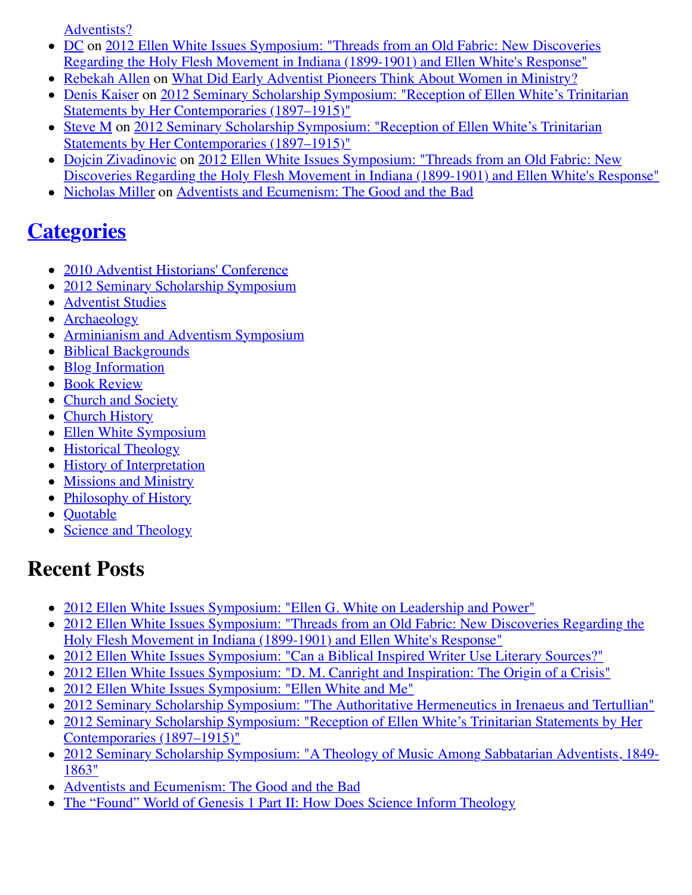[Adventists?](http://web.archive.org/web/20120716002105/http://www.memorymeaningfaith.org/blog/2011/01/found-world-of-genesis-1-theistic-evolution-1.html)

- [D](http://web.archive.org/web/20120716002105/http://www.memorymeaningfaith.org/blog/2012/04/2012-ellen-whites-issues-symposium-threads-from-an-old-fabric-holy-flesh-movement-indiana.html?cid=6a01287656f488970c0176156750ef970c#comment-6a01287656f488970c0176156750ef970c)[C on 2012 Ellen White Issues Symposium: "Threads from an Old Fabric: New Discoveries](http://web.archive.org/web/20120716002105/http://www.memorymeaningfaith.org/blog/2012/04/2012-ellen-whites-issues-symposium-threads-from-an-old-fabric-holy-flesh-movement-indiana.html) Regarding the Holy Flesh Movement in Indiana (1899-1901) and Ellen White's Response"
- [Rebekah Allen](http://web.archive.org/web/20120716002105/http://www.memorymeaningfaith.org/blog/2010/04/adventist-pioneers-women-ministry.html?cid=6a01287656f488970c0168eb2eb63d970c#comment-6a01287656f488970c0168eb2eb63d970c) on [What Did Early Adventist Pioneers Think About Women in Ministry?](http://web.archive.org/web/20120716002105/http://www.memorymeaningfaith.org/blog/2010/04/adventist-pioneers-women-ministry.html)
- [Denis Kaiser on 2012 Seminary Scholarship Symposium: "Reception of Ellen White's Trinitarian](http://web.archive.org/web/20120716002105/http://www.memorymeaningfaith.org/blog/2012/02/2012-seminary-scholarship-symposium-.html) Statements by Her Contemporaries (1897–1915)"
- [Steve](http://web.archive.org/web/20120716002105/http://www.memorymeaningfaith.org/blog/2012/02/2012-seminary-scholarship-symposium-.html?cid=6a01287656f488970c01630519bd58970d#comment-6a01287656f488970c01630519bd58970d) [M on 2012 Seminary Scholarship Symposium: "Reception of Ellen White's Trinitarian](http://web.archive.org/web/20120716002105/http://www.memorymeaningfaith.org/blog/2012/02/2012-seminary-scholarship-symposium-.html) Statements by Her Contemporaries (1897–1915)"
- [Dojcin Zivadinovic](http://web.archive.org/web/20120716002105/http://www.memorymeaningfaith.org/blog/2012/04/2012-ellen-whites-issues-symposium-threads-from-an-old-fabric-holy-flesh-movement-indiana.html?cid=6a01287656f488970c0168ea439e71970c#comment-6a01287656f488970c0168ea439e71970c) on 2012 Ellen White Issues Symposium: "Threads from an Old Fabric: New [Discoveries Regarding the Holy Flesh Movement in Indiana \(1899-1901\) and Ellen White's Response"](http://web.archive.org/web/20120716002105/http://www.memorymeaningfaith.org/blog/2012/04/2012-ellen-whites-issues-symposium-threads-from-an-old-fabric-holy-flesh-movement-indiana.html)
- [Nicholas Miller](http://web.archive.org/web/20120716002105/http://www.memorymeaningfaith.org/blog/2012/02/adventists-and-ecumenism-the-good-and-the-bad.html?cid=6a01287656f488970c01676529bb76970b#comment-6a01287656f488970c01676529bb76970b) on [Adventists and Ecumenism: The Good and the Bad](http://web.archive.org/web/20120716002105/http://www.memorymeaningfaith.org/blog/2012/02/adventists-and-ecumenism-the-good-and-the-bad.html)

## **[Categories](http://web.archive.org/web/20120716002105/http://www.memorymeaningfaith.org/blog/archives.html)**

- [2010 Adventist Historians' Conference](http://web.archive.org/web/20120716002105/http://www.memorymeaningfaith.org/blog/2010-adventist-historians-conference/)
- [2012 Seminary Scholarship Symposium](http://web.archive.org/web/20120716002105/http://www.memorymeaningfaith.org/blog/2012-seminary-scholarship-symposium/)
- [Adventist Studies](http://web.archive.org/web/20120716002105/http://www.memorymeaningfaith.org/blog/adventist-studies/)
- [Archaeology](http://web.archive.org/web/20120716002105/http://www.memorymeaningfaith.org/blog/archaeology/)
- [Arminianism and Adventism Symposium](http://web.archive.org/web/20120716002105/http://www.memorymeaningfaith.org/blog/arminianism-and-adventism-symposium/)
- [Biblical Backgrounds](http://web.archive.org/web/20120716002105/http://www.memorymeaningfaith.org/blog/biblical-backgrounds/)
- [Blog Information](http://web.archive.org/web/20120716002105/http://www.memorymeaningfaith.org/blog/blog-info/)
- **[Book Review](http://web.archive.org/web/20120716002105/http://www.memorymeaningfaith.org/blog/book-review/)**
- [Church and Society](http://web.archive.org/web/20120716002105/http://www.memorymeaningfaith.org/blog/church-and-society/)
- [Church History](http://web.archive.org/web/20120716002105/http://www.memorymeaningfaith.org/blog/church-history/)
- [Ellen White Symposium](http://web.archive.org/web/20120716002105/http://www.memorymeaningfaith.org/blog/ellen-white-symposium/)
- [Historical Theology](http://web.archive.org/web/20120716002105/http://www.memorymeaningfaith.org/blog/theology/)
- [History of Interpretation](http://web.archive.org/web/20120716002105/http://www.memorymeaningfaith.org/blog/history-of-interpretation/)
- [Missions and Ministry](http://web.archive.org/web/20120716002105/http://www.memorymeaningfaith.org/blog/missions-and-ministry/)
- [Philosophy of History](http://web.archive.org/web/20120716002105/http://www.memorymeaningfaith.org/blog/philosophy-of-history/)
- [Quotable](http://web.archive.org/web/20120716002105/http://www.memorymeaningfaith.org/blog/sources/)
- [Science and Theology](http://web.archive.org/web/20120716002105/http://www.memorymeaningfaith.org/blog/science-and-theology/)

### **Recent Posts**

- [2012 Ellen White Issues Symposium: "Ellen G. White on Leadership and Power"](http://web.archive.org/web/20120716002105/http://www.memorymeaningfaith.org/blog/2012/04/2012-ellen-whites-issues-symposium-white-on-leadership-and-power.html)
- [2012 Ellen White Issues Symposium: "Threads from an Old Fabric: New Discoveries Regarding the](http://web.archive.org/web/20120716002105/http://www.memorymeaningfaith.org/blog/2012/04/2012-ellen-whites-issues-symposium-threads-from-an-old-fabric-holy-flesh-movement-indiana.html) Holy Flesh Movement in Indiana (1899-1901) and Ellen White's Response"
- [2012 Ellen White Issues Symposium: "Can a Biblical Inspired Writer Use Literary Sources?"](http://web.archive.org/web/20120716002105/http://www.memorymeaningfaith.org/blog/2012/03/2012-ellen-whites-issues-symposium-inspired-writer-literary-sources.html)
- [2012 Ellen White Issues Symposium: "D. M. Canright and Inspiration: The Origin of a Crisis"](http://web.archive.org/web/20120716002105/http://www.memorymeaningfaith.org/blog/2012/03/2012-ellen-whites-issues-symposium-canright-ellen-white-inspiration-crisis.html)
- [2012 Ellen White Issues Symposium: "Ellen White and Me"](http://web.archive.org/web/20120716002105/http://www.memorymeaningfaith.org/blog/2012/03/2012-ellen-white-issues-symposium-ellen-white-and-me.html)
- [2012 Seminary Scholarship Symposium: "The Authoritative Hermeneutics in Irenaeus and Tertullian"](http://web.archive.org/web/20120716002105/http://www.memorymeaningfaith.org/blog/2012/03/2012-sss-authoritative-hermeneutics-in-irenaeus-and-tertullian.html)
- [2012 Seminary Scholarship Symposium: "Reception of Ellen White's Trinitarian Statements by Her](http://web.archive.org/web/20120716002105/http://www.memorymeaningfaith.org/blog/2012/02/2012-seminary-scholarship-symposium-.html) Contemporaries (1897–1915)"
- [2012 Seminary Scholarship Symposium: "A Theology of Music Among Sabbatarian Adventists, 1849-](http://web.archive.org/web/20120716002105/http://www.memorymeaningfaith.org/blog/2012/02/2012-sss-theology-of-music-sabbatarian-adventists-1849-1863.html) 1863"
- [Adventists and Ecumenism: The Good and the Bad](http://web.archive.org/web/20120716002105/http://www.memorymeaningfaith.org/blog/2012/02/adventists-and-ecumenism-the-good-and-the-bad.html)
- [The "Found" World of Genesis 1 Part II: How Does Science Inform Theology](http://web.archive.org/web/20120716002105/http://www.memorymeaningfaith.org/blog/2011/08/the-found-world-of-genesis-1-part-ii-science-informing-theology.html)